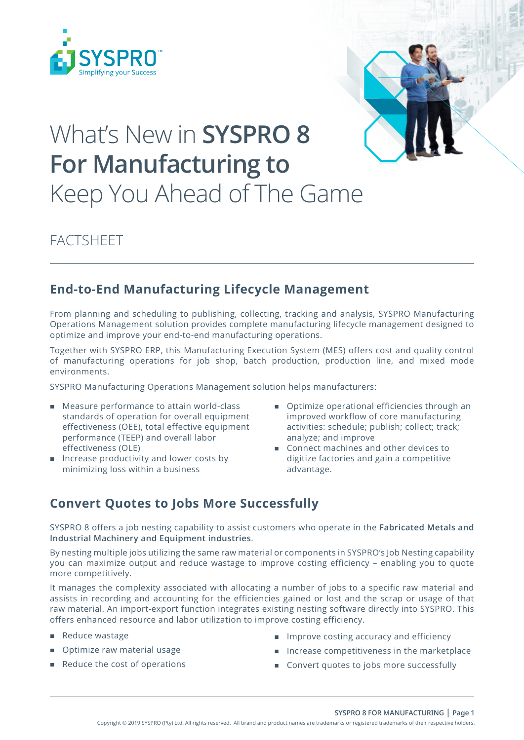



# What's New in **SYSPRO 8 For Manufacturing to** Keep You Ahead of The Game

FACTSHEET

# **End-to-End Manufacturing Lifecycle Management**

From planning and scheduling to publishing, collecting, tracking and analysis, SYSPRO Manufacturing Operations Management solution provides complete manufacturing lifecycle management designed to optimize and improve your end-to-end manufacturing operations.

Together with SYSPRO ERP, this Manufacturing Execution System (MES) offers cost and quality control of manufacturing operations for job shop, batch production, production line, and mixed mode environments.

SYSPRO Manufacturing Operations Management solution helps manufacturers:

- **Measure performance to attain world-class** standards of operation for overall equipment effectiveness (OEE), total effective equipment performance (TEEP) and overall labor effectiveness (OLE)
- $\blacksquare$  Increase productivity and lower costs by minimizing loss within a business
- Optimize operational efficiencies through an improved workflow of core manufacturing activities: schedule; publish; collect; track; analyze; and improve
- Connect machines and other devices to digitize factories and gain a competitive advantage.

# **Convert Quotes to Jobs More Successfully**

SYSPRO 8 offers a job nesting capability to assist customers who operate in the **Fabricated Metals and Industrial Machinery and Equipment industries**.

By nesting multiple jobs utilizing the same raw material or components in SYSPRO's Job Nesting capability you can maximize output and reduce wastage to improve costing efficiency – enabling you to quote more competitively.

It manages the complexity associated with allocating a number of jobs to a specific raw material and assists in recording and accounting for the efficiencies gained or lost and the scrap or usage of that raw material. An import-export function integrates existing nesting software directly into SYSPRO. This offers enhanced resource and labor utilization to improve costing efficiency.

- Reduce wastage
- **Diamize raw material usage**
- Reduce the cost of operations
- **IMPROVE COSTAND ACCUTACY AND EFFICIENCY**
- $\blacksquare$  Increase competitiveness in the marketplace
- Convert quotes to jobs more successfully

**SYSPRO 8 FOR MANUFACTURING | Page 1**

Copyright © 2019 SYSPRO (Pty) Ltd. All rights reserved. All brand and product names are trademarks or registered trademarks of their respective holders.